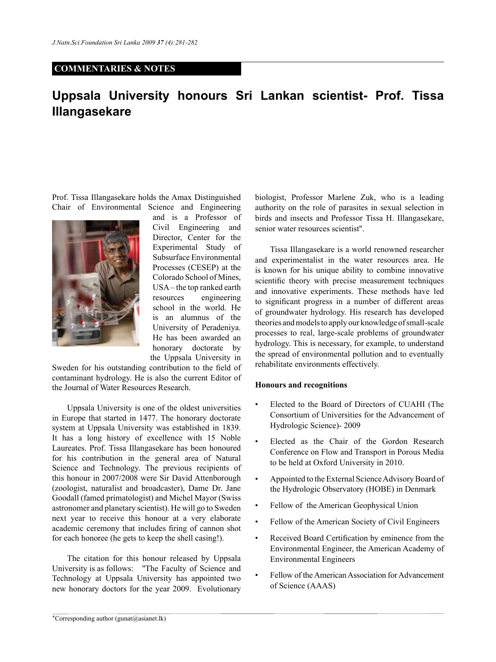## **COMMENTARIES & NOTES**

## **Uppsala University honours Sri Lankan scientist- Prof. Tissa Illangasekare**

Prof. Tissa Illangasekare holds the Amax Distinguished Chair of Environmental Science and Engineering



and is a Professor of Civil Engineering and Director, Center for the Experimental Study of Subsurface Environmental Processes (CESEP) at the Colorado School of Mines, USA – the top ranked earth resources engineering school in the world. He is an alumnus of the University of Peradeniya. He has been awarded an honorary doctorate by the Uppsala University in

Sweden for his outstanding contribution to the field of contaminant hydrology. He is also the current Editor of the Journal of Water Resources Research.

Uppsala University is one of the oldest universities in Europe that started in 1477. The honorary doctorate system at Uppsala University was established in 1839. It has a long history of excellence with 15 Noble Laureates. Prof. Tissa Illangasekare has been honoured for his contribution in the general area of Natural Science and Technology. The previous recipients of this honour in 2007/2008 were Sir David Attenborough (zoologist, naturalist and broadcaster), Dame Dr. Jane Goodall (famed primatologist) and Michel Mayor (Swiss astronomer and planetary scientist). He will go to Sweden next year to receive this honour at a very elaborate academic ceremony that includes firing of cannon shot for each honoree (he gets to keep the shell casing!).

The citation for this honour released by Uppsala University is as follows: ''The Faculty of Science and Technology at Uppsala University has appointed two new honorary doctors for the year 2009. Evolutionary biologist, Professor Marlene Zuk, who is a leading authority on the role of parasites in sexual selection in birds and insects and Professor Tissa H. Illangasekare, senior water resources scientist''.

Tissa Illangasekare is a world renowned researcher and experimentalist in the water resources area. He is known for his unique ability to combine innovative scientific theory with precise measurement techniques and innovative experiments. These methods have led to significant progress in a number of different areas of groundwater hydrology. His research has developed theories and models to apply our knowledge of small-scale processes to real, large-scale problems of groundwater hydrology. This is necessary, for example, to understand the spread of environmental pollution and to eventually rehabilitate environments effectively.

## **Honours and recognitions**

- Elected to the Board of Directors of CUAHI (The Consortium of Universities for the Advancement of Hydrologic Science)- 2009
- Elected as the Chair of the Gordon Research Conference on Flow and Transport in Porous Media to be held at Oxford University in 2010.
- Appointed to the External Science Advisory Board of the Hydrologic Observatory (HOBE) in Denmark
- Fellow of the American Geophysical Union
- Fellow of the American Society of Civil Engineers
- Received Board Certification by eminence from the Environmental Engineer, the American Academy of Environmental Engineers
- Fellow of the American Association for Advancement of Science (AAAS)